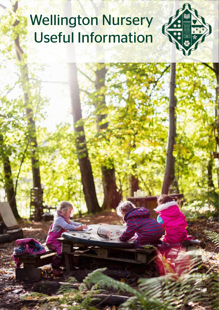# Wellington Nursery Useful Information

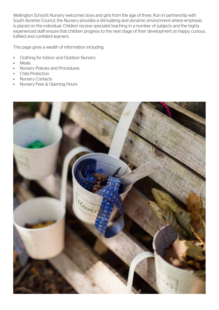Wellington School's Nursery welcomes boys and girls from the age of three. Run in partnership with South Ayrshire Council, the Nursery provides a stimulating and dynamic environment where emphasis is placed on the individual. Children receive specialist teaching in a number of subjects and the highly experienced staff ensure that children progress to the next stage of their development as happy, curious, fulfilled and confident learners.

This page gives a wealth of information including:

- Clothing for Indoor and Outdoor Nursery
- **Meals**
- Nursery Policies and Procedures
- Child Protection
- Nursery Contacts
- Nursery Fees & Opening Hours

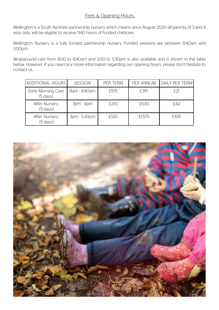# Fees & Opening Hours

Wellington is a South Ayrshire partnership nursery which means since August 2020 all parents of 3 and 4 year olds, will be eligible to receive 1140 hours of funded childcare.

Wellington Nursery is a fully funded partnership nursery. Funded sessions are between 8.40am and 3.00pm.

Wraparound care from 8.00 to 8.40am and 3.00 to 5.30pm is also available and is shown in the table below. However, if you need any more information regarding our opening hours, please don't hesitate to contact us.

| ADDITIONAL HOURS I                           | <b>SESSION</b> | PER TERM | PER ANNUM | DAILY PER TERM |
|----------------------------------------------|----------------|----------|-----------|----------------|
| Early Morning Care<br>$(5 \, \text{days})$   | 8am - 8.40am   | £105     | £315      |                |
| <b>After Nursery</b><br>$(5 \, \text{days})$ | $3pm - 4pm$    | £210     | £630      | £42            |
| <b>After Nursery</b><br>$(5 \text{ days})$   | 3pm - 5.30pm   | £525     | £1.575    | £105           |

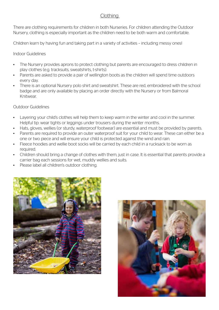## Clothing

There are clothing requirements for children in both Nurseries. For children attending the Outdoor Nursery, clothing is especially important as the children need to be both warm and comfortable.

Children learn by having fun and taking part in a variety of activities – including messy ones!

Indoor Guidelines

- The Nursery provides aprons to protect clothing but parents are encouraged to dress children in play clothes (e.g. tracksuits, sweatshirts, t-shirts).
- Parents are asked to provide a pair of wellington boots as the children will spend time outdoors every day.
- There is an optional Nursery polo shirt and sweatshirt. These are red, embroidered with the school badge and are only available by placing an order directly with the Nursery or from Balmoral Knitwear.

#### Outdoor Guidelines

- Layering your child's clothes will help them to keep warm in the winter and cool in the summer. Helpful tip: wear tights or leggings under trousers during the winter months.
- Hats, gloves, wellies (or sturdy, waterproof footwear) are essential and must be provided by parents.
- Parents are required to provide an outer waterproof suit for your child to wear. These can either be a one or two piece and will ensure your child is protected against the wind and rain.
- Fleece hoodies and wellie boot socks will be carried by each child in a rucksack to be worn as required.
- Children should bring a change of clothes with them, just in case. It is essential that parents provide a carrier bag each sessions for wet, muddy wellies and suits.
- Please label all children's outdoor clothing.



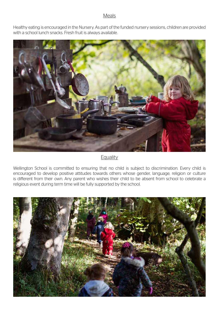#### Meals

Healthy eating is encouraged in the Nursery. As part of the funded nursery sessions, children are provided with a school lunch snacks. Fresh fruit is always available.



# **Equality**

Wellington School is committed to ensuring that no child is subject to discrimination. Every child is encouraged to develop positive attitudes towards others whose gender, language, religion or culture is different from their own. Any parent who wishes their child to be absent from school to celebrate a religious event during term time will be fully supported by the school.

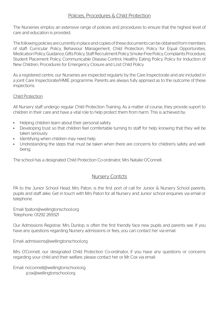#### Policies, Procedures & Child Protection

The Nurseries employ an extensive range of policies and procedures to ensure that the highest level of care and education is provided.

The following policies are currently in place and copies of these documents can be obtained from members of staff: Curricular Policy, Behaviour Management, Child Protection, Policy for Equal Opportunities, Medication Policy, Guidance, Gifts Policy, Staff Recruitment Policy, Smoke-Free Policy, Complaints Procedure, Student Placement Policy, Communicable Disease Control, Healthy Eating Policy, Policy for Induction of New Children, Procedures for Emergency Closure and Lost Child Policy.

As a registered centre, our Nurseries are inspected regularly by the Care Inspectorate and are included in a joint Care Inspectorate/HMIE programme. Parents are always fully apprised as to the outcome of these inspections.

#### Child Protection

All Nursery staff undergo regular Child Protection Training. As a matter of course, they provide suport to children in their care and have a vital role to help protect them from harm. This is achieved by:

- Helping children learn about their personal safety.
- Developing trust so that children feel comfertable turning to staff for help, knowing that they will be taken seriously.
- Identifying when children may need help.
- Undrestanding the steps that must be taken when there are concerns for children's safety and wellbeing.

The school has a designated Child Protection Co-ordinator, Mrs Natalie O'Connell.

## Nursery Contcts

PA to the Junior School Head, Mrs Paton, is the first port of call for Junior & Nursery School parents, pupils and staff alike. Get in touch with Mrs Paton for all Nursery and Junior school enquiries via email or telephone.

Email: fpaton@wellingtonschool.org Telephone: 01292 269321

Our Admissions Registrar, Mrs Dunlop, is often the first friendly face new pupils and parents see. If you have any questions regarding Nursery admissions or fees, you can contact her via email.

Email: admissions@wellingtonschool.org

Mrs O'Connell, our designated Child Protection Co-ordinator, if you have any questions or concerns regarding your child and their welfare, please contact her or Mr Cox via email:

Email: no'connell@wellingtonschool.org jcox@wellingtonschool.org